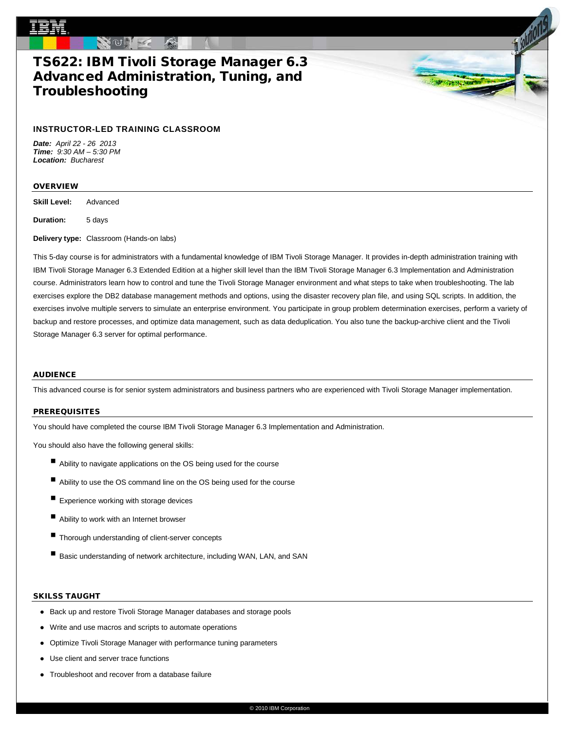# TS622: IBM Tivoli Storage Manager 6.3 Advanced Administration, Tuning, and Troubleshooting

### **INSTRUCTOR-LED TRAINING CLASSROOM**

*Date: April 22 - 26 2013 Time: 9:30 AM – 5:30 PM Location: Bucharest*

#### **OVERVIEW**

**Skill Level:** Advanced

**Duration:** 5 days

**Delivery type:** Classroom (Hands-on labs)

This 5-day course is for administrators with a fundamental knowledge of IBM Tivoli Storage Manager. It provides in-depth administration training with IBM Tivoli Storage Manager 6.3 Extended Edition at a higher skill level than the IBM Tivoli Storage Manager 6.3 Implementation and Administration course. Administrators learn how to control and tune the Tivoli Storage Manager environment and what steps to take when troubleshooting. The lab exercises explore the DB2 database management methods and options, using the disaster recovery plan file, and using SQL scripts. In addition, the exercises involve multiple servers to simulate an enterprise environment. You participate in group problem determination exercises, perform a variety of backup and restore processes, and optimize data management, such as data deduplication. You also tune the backup-archive client and the Tivoli Storage Manager 6.3 server for optimal performance.

an chang be

### **AUDIENCE**

This advanced course is for senior system administrators and business partners who are experienced with Tivoli Storage Manager implementation.

### **PREREQUISITES**

You should have completed the course IBM Tivoli Storage Manager 6.3 Implementation and Administration.

You should also have the following general skills:

- Ability to navigate applications on the OS being used for the course
- Ability to use the OS command line on the OS being used for the course
- Experience working with storage devices
- Ability to work with an Internet browser
- Thorough understanding of client-server concepts
- Basic understanding of network architecture, including WAN, LAN, and SAN

#### SKILSS TAUGHT

- Back up and restore Tivoli Storage Manager databases and storage pools
- Write and use macros and scripts to automate operations
- Optimize Tivoli Storage Manager with performance tuning parameters
- Use client and server trace functions
- Troubleshoot and recover from a database failure